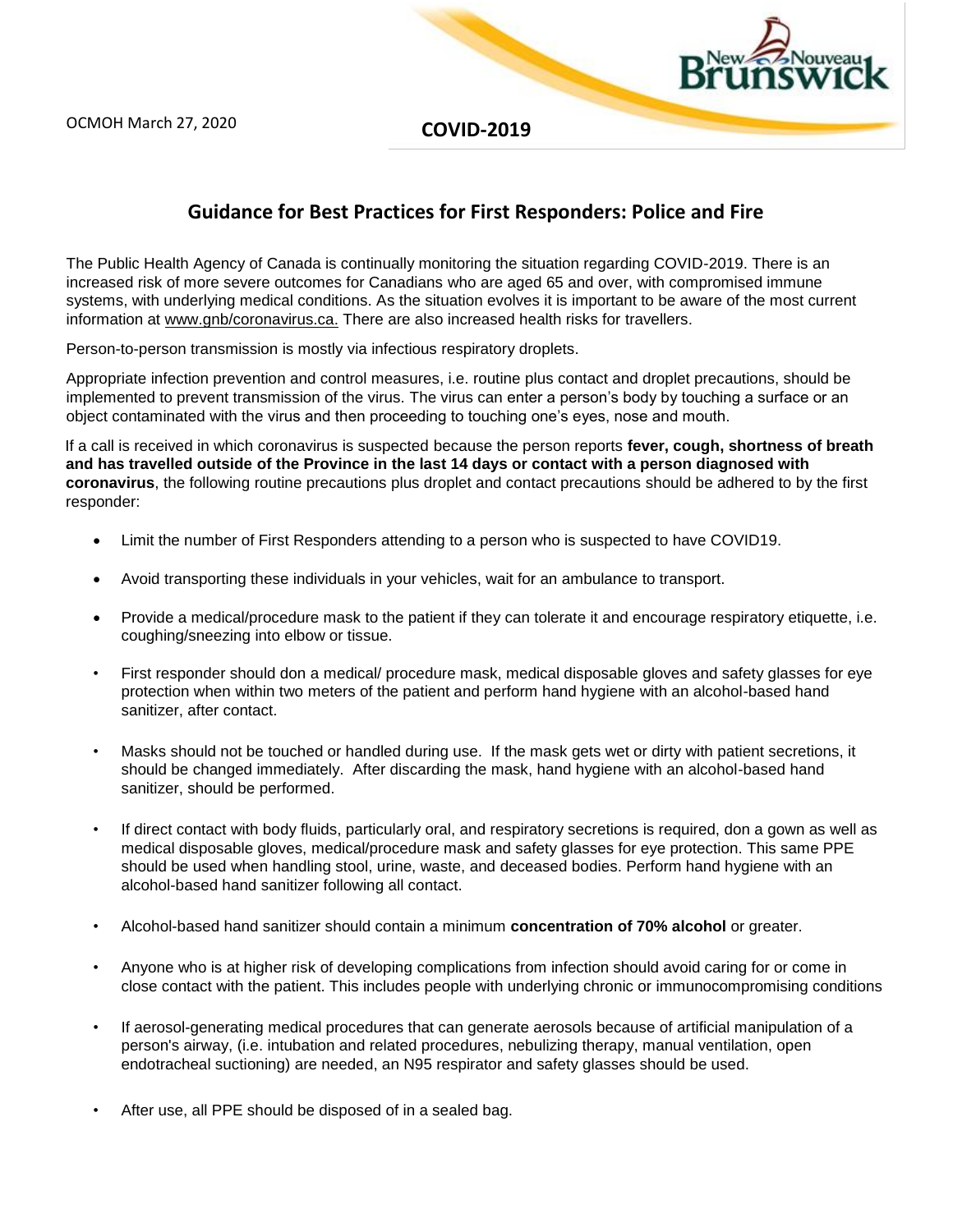**COVID-2019** 

## **Guidance for Best Practices for First Responders: Police and Fire**

The Public Health Agency of Canada is continually monitoring the situation regarding COVID-2019. There is an increased risk of more severe outcomes for Canadians who are aged 65 and over, with compromised immune systems, with underlying medical conditions. As the situation evolves it is important to be aware of the most current information a[t](http://www.gnb/coronavirus.ca) [www.gnb/coronavirus.ca.](http://www.gnb/coronavirus.ca) There are also increased health risks for travellers.

Person-to-person transmission is mostly via infectious respiratory droplets.

Appropriate infection prevention and control measures, i.e. routine plus contact and droplet precautions, should be implemented to prevent transmission of the virus. The virus can enter a person's body by touching a surface or an object contaminated with the virus and then proceeding to touching one's eyes, nose and mouth.

If a call is received in which coronavirus is suspected because the person reports **fever, cough, shortness of breath and has travelled outside of the Province in the last 14 days or contact with a person diagnosed with coronavirus**, the following routine precautions plus droplet and contact precautions should be adhered to by the first responder:

- Limit the number of First Responders attending to a person who is suspected to have COVID19.
- Avoid transporting these individuals in your vehicles, wait for an ambulance to transport.
- Provide a medical/procedure mask to the patient if they can tolerate it and encourage respiratory etiquette, i.e. coughing/sneezing into elbow or tissue.
- First responder should don a medical/ procedure mask, medical disposable gloves and safety glasses for eye protection when within two meters of the patient and perform hand hygiene with an alcohol-based hand sanitizer, after contact.
- Masks should not be touched or handled during use. If the mask gets wet or dirty with patient secretions, it should be changed immediately. After discarding the mask, hand hygiene with an alcohol-based hand sanitizer, should be performed.
- If direct contact with body fluids, particularly oral, and respiratory secretions is required, don a gown as well as medical disposable gloves, medical/procedure mask and safety glasses for eye protection. This same PPE should be used when handling stool, urine, waste, and deceased bodies. Perform hand hygiene with an alcohol-based hand sanitizer following all contact.
- Alcohol-based hand sanitizer should contain a minimum **concentration of 70% alcohol** or greater.
- Anyone who is at higher risk of developing complications from infection should avoid caring for or come in close contact with the patient. This includes people with underlying chronic or immunocompromising conditions
- If aerosol-generating medical procedures that can generate aerosols because of artificial manipulation of a person's airway, (i.e. intubation and related procedures, nebulizing therapy, manual ventilation, open endotracheal suctioning) are needed, an N95 respirator and safety glasses should be used.
- After use, all PPE should be disposed of in a sealed bag.